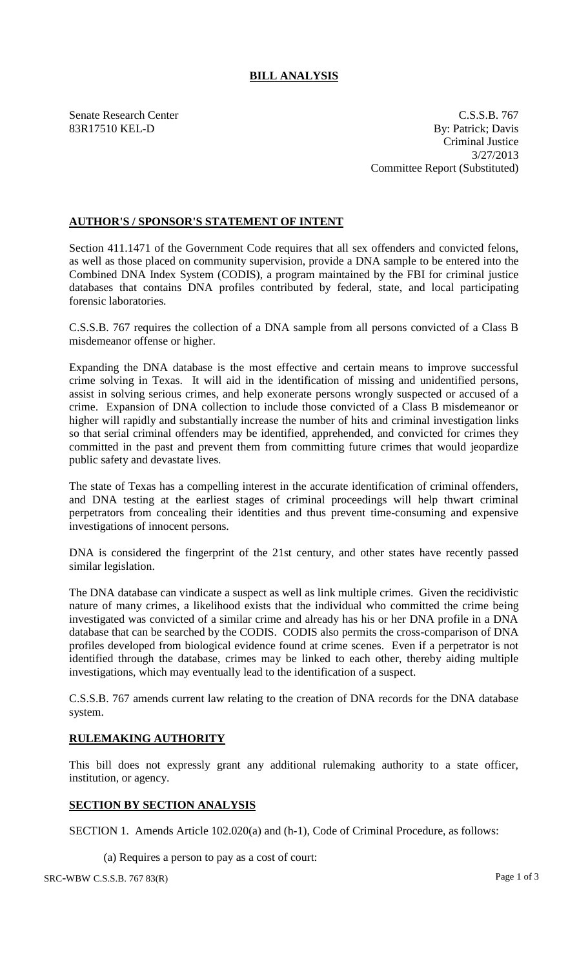## **BILL ANALYSIS**

Senate Research Center C.S.S.B. 767 83R17510 KEL-D By: Patrick; Davis Criminal Justice 3/27/2013 Committee Report (Substituted)

## **AUTHOR'S / SPONSOR'S STATEMENT OF INTENT**

Section 411.1471 of the Government Code requires that all sex offenders and convicted felons, as well as those placed on community supervision, provide a DNA sample to be entered into the Combined DNA Index System (CODIS), a program maintained by the FBI for criminal justice databases that contains DNA profiles contributed by federal, state, and local participating forensic laboratories.

C.S.S.B. 767 requires the collection of a DNA sample from all persons convicted of a Class B misdemeanor offense or higher.

Expanding the DNA database is the most effective and certain means to improve successful crime solving in Texas. It will aid in the identification of missing and unidentified persons, assist in solving serious crimes, and help exonerate persons wrongly suspected or accused of a crime. Expansion of DNA collection to include those convicted of a Class B misdemeanor or higher will rapidly and substantially increase the number of hits and criminal investigation links so that serial criminal offenders may be identified, apprehended, and convicted for crimes they committed in the past and prevent them from committing future crimes that would jeopardize public safety and devastate lives.

The state of Texas has a compelling interest in the accurate identification of criminal offenders, and DNA testing at the earliest stages of criminal proceedings will help thwart criminal perpetrators from concealing their identities and thus prevent time-consuming and expensive investigations of innocent persons.

DNA is considered the fingerprint of the 21st century, and other states have recently passed similar legislation.

The DNA database can vindicate a suspect as well as link multiple crimes. Given the recidivistic nature of many crimes, a likelihood exists that the individual who committed the crime being investigated was convicted of a similar crime and already has his or her DNA profile in a DNA database that can be searched by the CODIS. CODIS also permits the cross-comparison of DNA profiles developed from biological evidence found at crime scenes. Even if a perpetrator is not identified through the database, crimes may be linked to each other, thereby aiding multiple investigations, which may eventually lead to the identification of a suspect.

C.S.S.B. 767 amends current law relating to the creation of DNA records for the DNA database system.

## **RULEMAKING AUTHORITY**

This bill does not expressly grant any additional rulemaking authority to a state officer, institution, or agency.

## **SECTION BY SECTION ANALYSIS**

SECTION 1. Amends Article 102.020(a) and (h-1), Code of Criminal Procedure, as follows:

(a) Requires a person to pay as a cost of court:

SRC-WBW C.S.S.B. 767 83(R) Page 1 of 3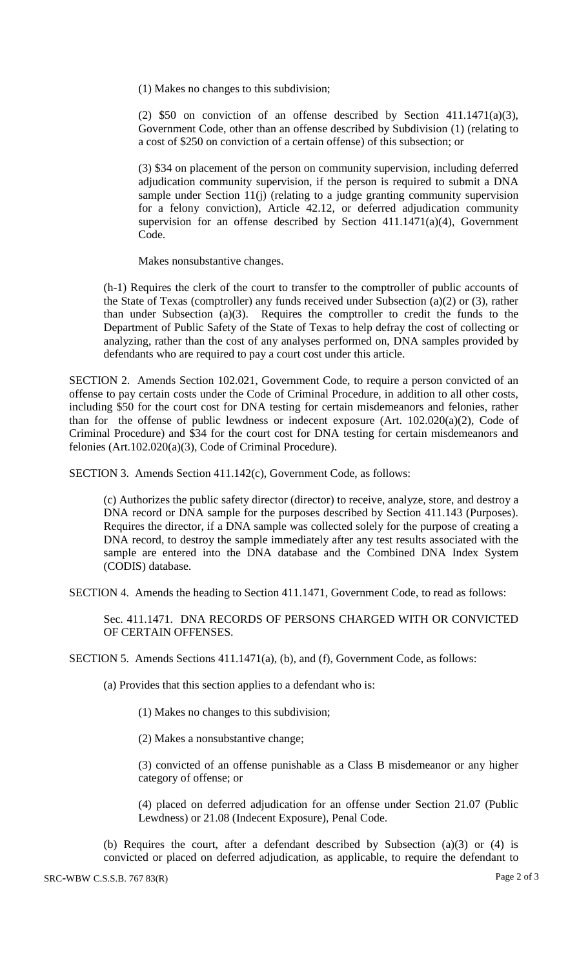(1) Makes no changes to this subdivision;

(2)  $$50$  on conviction of an offense described by Section 411.1471(a)(3), Government Code, other than an offense described by Subdivision (1) (relating to a cost of \$250 on conviction of a certain offense) of this subsection; or

(3) \$34 on placement of the person on community supervision, including deferred adjudication community supervision, if the person is required to submit a DNA sample under Section 11(j) (relating to a judge granting community supervision for a felony conviction), Article 42.12, or deferred adjudication community supervision for an offense described by Section  $411.1471(a)(4)$ , Government Code.

Makes nonsubstantive changes.

(h-1) Requires the clerk of the court to transfer to the comptroller of public accounts of the State of Texas (comptroller) any funds received under Subsection  $(a)(2)$  or  $(3)$ , rather than under Subsection (a)(3). Requires the comptroller to credit the funds to the Department of Public Safety of the State of Texas to help defray the cost of collecting or analyzing, rather than the cost of any analyses performed on, DNA samples provided by defendants who are required to pay a court cost under this article.

SECTION 2. Amends Section 102.021, Government Code, to require a person convicted of an offense to pay certain costs under the Code of Criminal Procedure, in addition to all other costs, including \$50 for the court cost for DNA testing for certain misdemeanors and felonies, rather than for the offense of public lewdness or indecent exposure (Art. 102.020(a)(2), Code of Criminal Procedure) and \$34 for the court cost for DNA testing for certain misdemeanors and felonies (Art.102.020(a)(3), Code of Criminal Procedure).

SECTION 3. Amends Section 411.142(c), Government Code, as follows:

(c) Authorizes the public safety director (director) to receive, analyze, store, and destroy a DNA record or DNA sample for the purposes described by Section 411.143 (Purposes). Requires the director, if a DNA sample was collected solely for the purpose of creating a DNA record, to destroy the sample immediately after any test results associated with the sample are entered into the DNA database and the Combined DNA Index System (CODIS) database.

SECTION 4. Amends the heading to Section 411.1471, Government Code, to read as follows:

Sec. 411.1471. DNA RECORDS OF PERSONS CHARGED WITH OR CONVICTED OF CERTAIN OFFENSES.

SECTION 5. Amends Sections 411.1471(a), (b), and (f), Government Code, as follows:

(a) Provides that this section applies to a defendant who is:

(1) Makes no changes to this subdivision;

(2) Makes a nonsubstantive change;

(3) convicted of an offense punishable as a Class B misdemeanor or any higher category of offense; or

(4) placed on deferred adjudication for an offense under Section 21.07 (Public Lewdness) or 21.08 (Indecent Exposure), Penal Code.

(b) Requires the court, after a defendant described by Subsection (a)(3) or (4) is convicted or placed on deferred adjudication, as applicable, to require the defendant to